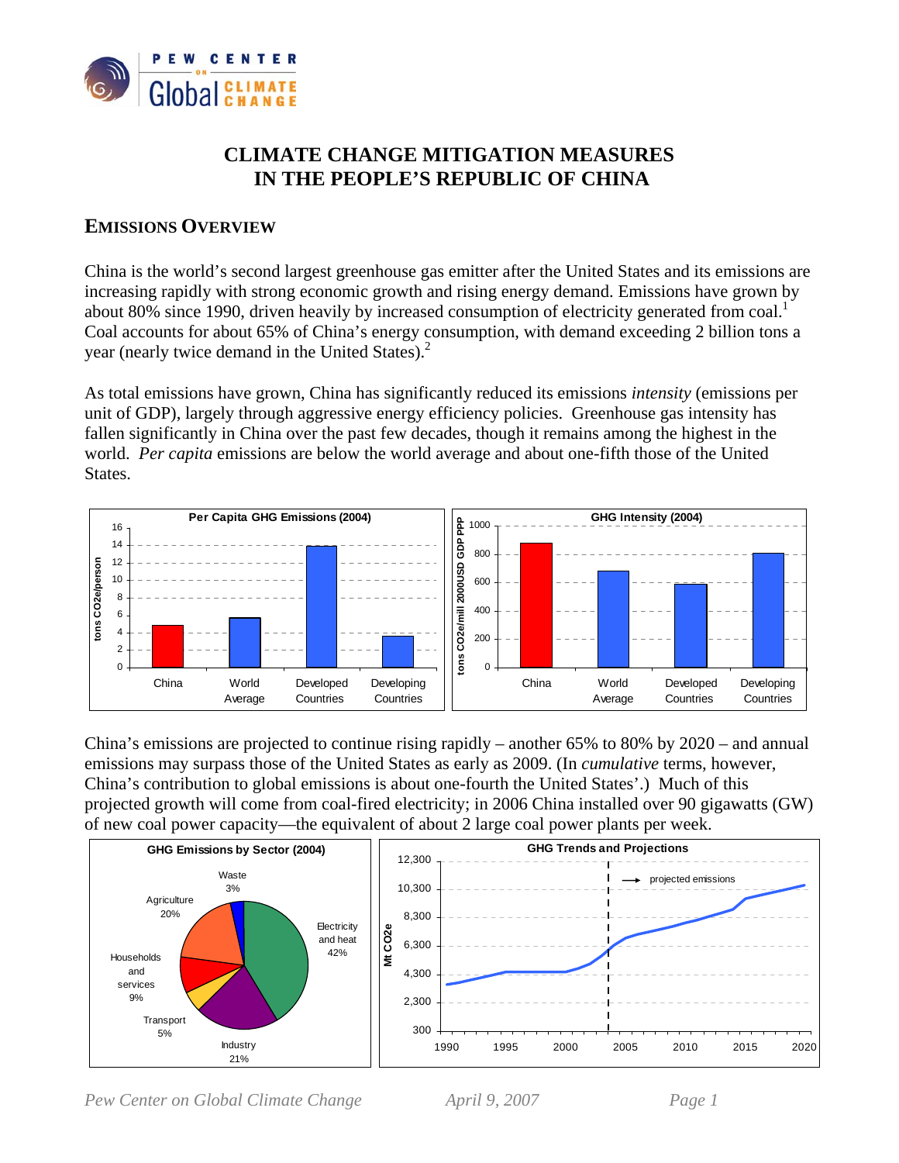

# **CLIMATE CHANGE MITIGATION MEASURES IN THE PEOPLE'S REPUBLIC OF CHINA**

# **EMISSIONS OVERVIEW**

China is the world's second largest greenhouse gas emitter after the United States and its emissions are increasing rapidly with strong economic growth and rising energy demand. Emissions have grown by about 80% since 1990, driven heavily by increased consumption of electricity generated from coal.<sup>1</sup> Coal accounts for about 65% of China's energy consumption, with demand exceeding 2 billion tons a year (nearly twice demand in the United States).<sup>2</sup>

As total emissions have grown, China has significantly reduced its emissions *intensity* (emissions per unit of GDP), largely through aggressive energy efficiency policies. Greenhouse gas intensity has fallen significantly in China over the past few decades, though it remains among the highest in the world. *Per capita* emissions are below the world average and about one-fifth those of the United States.



China's emissions are projected to continue rising rapidly – another 65% to 80% by 2020 – and annual emissions may surpass those of the United States as early as 2009. (In *cumulative* terms, however, China's contribution to global emissions is about one-fourth the United States'.) Much of this projected growth will come from coal-fired electricity; in 2006 China installed over 90 gigawatts (GW) of new coal power capacity—the equivalent of about 2 large coal power plants per week.



*Pew Center on Global Climate Change April 9, 2007 Page 1*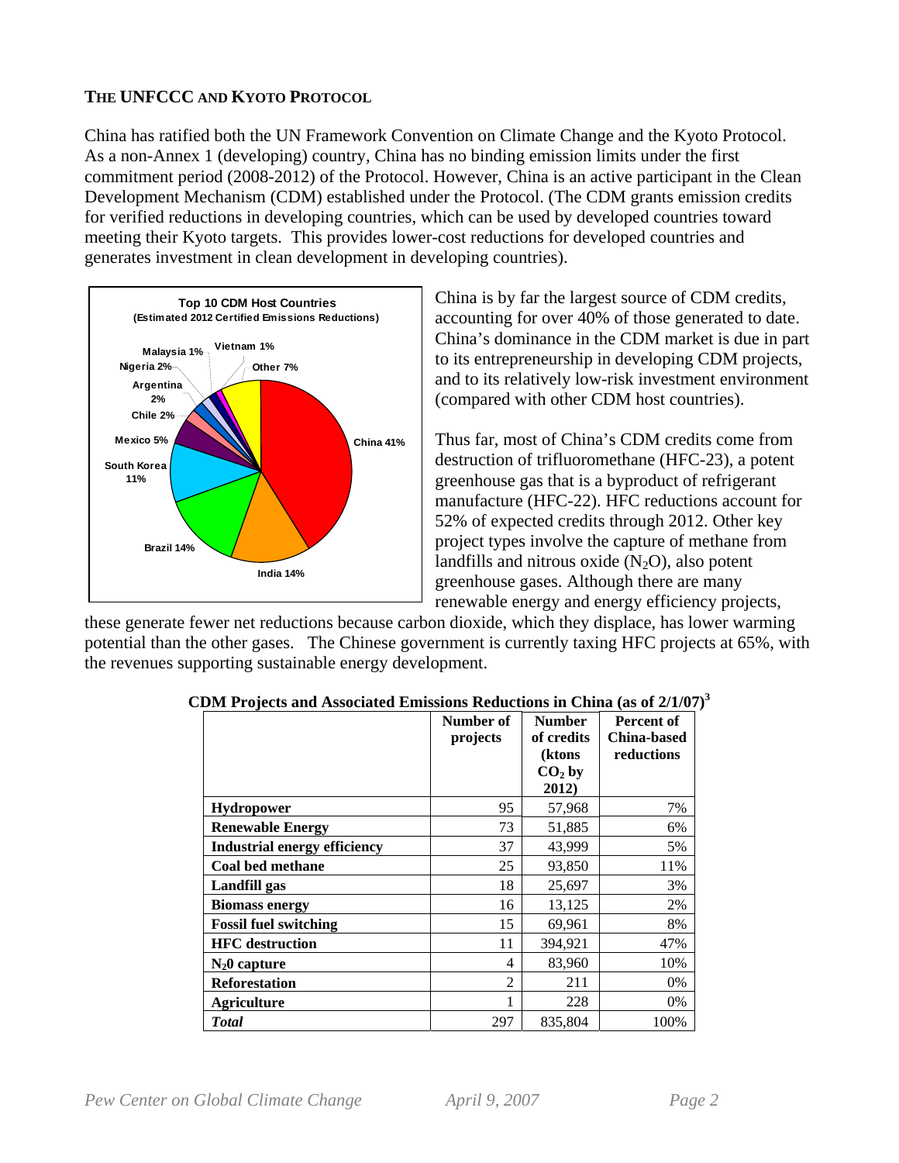### **THE UNFCCC AND KYOTO PROTOCOL**

China has ratified both the UN Framework Convention on Climate Change and the Kyoto Protocol. As a non-Annex 1 (developing) country, China has no binding emission limits under the first commitment period (2008-2012) of the Protocol. However, China is an active participant in the Clean Development Mechanism (CDM) established under the Protocol. (The CDM grants emission credits for verified reductions in developing countries, which can be used by developed countries toward meeting their Kyoto targets. This provides lower-cost reductions for developed countries and generates investment in clean development in developing countries).



China is by far the largest source of CDM credits, accounting for over 40% of those generated to date. China's dominance in the CDM market is due in part to its entrepreneurship in developing CDM projects, and to its relatively low-risk investment environment (compared with other CDM host countries).

Thus far, most of China's CDM credits come from destruction of trifluoromethane (HFC-23), a potent greenhouse gas that is a byproduct of refrigerant manufacture (HFC-22). HFC reductions account for 52% of expected credits through 2012. Other key project types involve the capture of methane from landfills and nitrous oxide  $(N_2O)$ , also potent greenhouse gases. Although there are many renewable energy and energy efficiency projects,

these generate fewer net reductions because carbon dioxide, which they displace, has lower warming potential than the other gases. The Chinese government is currently taxing HFC projects at 65%, with the revenues supporting sustainable energy development.

|                                     | Number of<br>projects | <b>Number</b><br>of credits<br>(ktons<br>$CO2$ by | <b>Percent of</b><br><b>China-based</b><br>reductions |
|-------------------------------------|-----------------------|---------------------------------------------------|-------------------------------------------------------|
|                                     |                       | 2012)                                             |                                                       |
| <b>Hydropower</b>                   | 95                    | 57,968                                            | 7%                                                    |
| <b>Renewable Energy</b>             | 73                    | 51,885                                            | 6%                                                    |
| <b>Industrial energy efficiency</b> | 37                    | 43,999                                            | 5%                                                    |
| <b>Coal bed methane</b>             | 25                    | 93,850                                            | 11%                                                   |
| Landfill gas                        | 18                    | 25,697                                            | 3%                                                    |
| <b>Biomass energy</b>               | 16                    | 13,125                                            | 2%                                                    |
| <b>Fossil fuel switching</b>        | 15                    | 69,961                                            | 8%                                                    |
| <b>HFC</b> destruction              | 11                    | 394,921                                           | 47%                                                   |
| $N_2$ 0 capture                     | 4                     | 83,960                                            | 10%                                                   |
| <b>Reforestation</b>                | $\overline{2}$        | 211                                               | 0%                                                    |
| <b>Agriculture</b>                  | 1                     | 228                                               | 0%                                                    |
| <b>Total</b>                        | 297                   | 835,804                                           | 100%                                                  |

|  |  | CDM Projects and Associated Emissions Reductions in China (as of $2/1/07$ ) <sup>3</sup> |  |  |
|--|--|------------------------------------------------------------------------------------------|--|--|
|  |  |                                                                                          |  |  |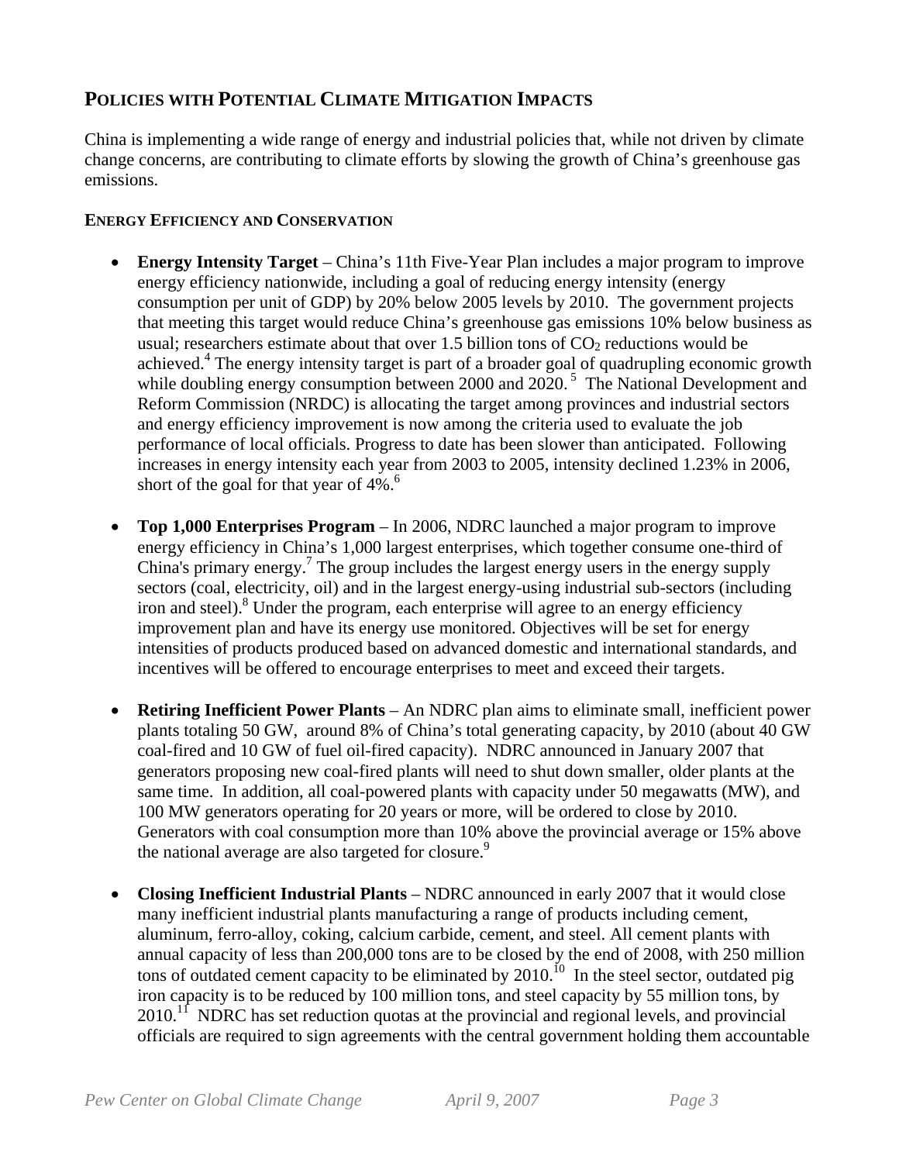# **POLICIES WITH POTENTIAL CLIMATE MITIGATION IMPACTS**

China is implementing a wide range of energy and industrial policies that, while not driven by climate change concerns, are contributing to climate efforts by slowing the growth of China's greenhouse gas emissions.

# **ENERGY EFFICIENCY AND CONSERVATION**

- **Energy Intensity Target** China's 11th Five-Year Plan includes a major program to improve energy efficiency nationwide, including a goal of reducing energy intensity (energy consumption per unit of GDP) by 20% below 2005 levels by 2010. The government projects that meeting this target would reduce China's greenhouse gas emissions 10% below business as usual; researchers estimate about that over 1.5 billion tons of  $CO<sub>2</sub>$  reductions would be achieved.<sup>4</sup> The energy intensity target is part of a broader goal of quadrupling economic growth while doubling energy consumption between 2000 and 2020.<sup>5</sup> The National Development and Reform Commission (NRDC) is allocating the target among provinces and industrial sectors and energy efficiency improvement is now among the criteria used to evaluate the job performance of local officials. Progress to date has been slower than anticipated. Following increases in energy intensity each year from 2003 to 2005, intensity declined 1.23% in 2006, short of the goal for that year of  $4\%$ .<sup>6</sup>
- **Top 1,000 Enterprises Program** In 2006, NDRC launched a major program to improve energy efficiency in China's 1,000 largest enterprises, which together consume one-third of China's primary energy.<sup>7</sup> The group includes the largest energy users in the energy supply sectors (coal, electricity, oil) and in the largest energy-using industrial sub-sectors (including iron and steel).<sup>8</sup> Under the program, each enterprise will agree to an energy efficiency improvement plan and have its energy use monitored. Objectives will be set for energy intensities of products produced based on advanced domestic and international standards, and incentives will be offered to encourage enterprises to meet and exceed their targets.
- **Retiring Inefficient Power Plants** An NDRC plan aims to eliminate small, inefficient power plants totaling 50 GW, around 8% of China's total generating capacity, by 2010 (about 40 GW coal-fired and 10 GW of fuel oil-fired capacity). NDRC announced in January 2007 that generators proposing new coal-fired plants will need to shut down smaller, older plants at the same time. In addition, all coal-powered plants with capacity under 50 megawatts (MW), and 100 MW generators operating for 20 years or more, will be ordered to close by 2010. Generators with coal consumption more than 10% above the provincial average or 15% above the national average are also targeted for closure.<sup>9</sup>
- **Closing Inefficient Industrial Plants** NDRC announced in early 2007 that it would close many inefficient industrial plants manufacturing a range of products including cement, aluminum, ferro-alloy, coking, calcium carbide, cement, and steel. All cement plants with annual capacity of less than 200,000 tons are to be closed by the end of 2008, with 250 million tons of outdated cement capacity to be eliminated by  $2010$ .<sup>10</sup> In the steel sector, outdated pig iron capacity is to be reduced by 100 million tons, and steel capacity by 55 million tons, by  $2010$ <sup>11</sup> NDRC has set reduction quotas at the provincial and regional levels, and provincial officials are required to sign agreements with the central government holding them accountable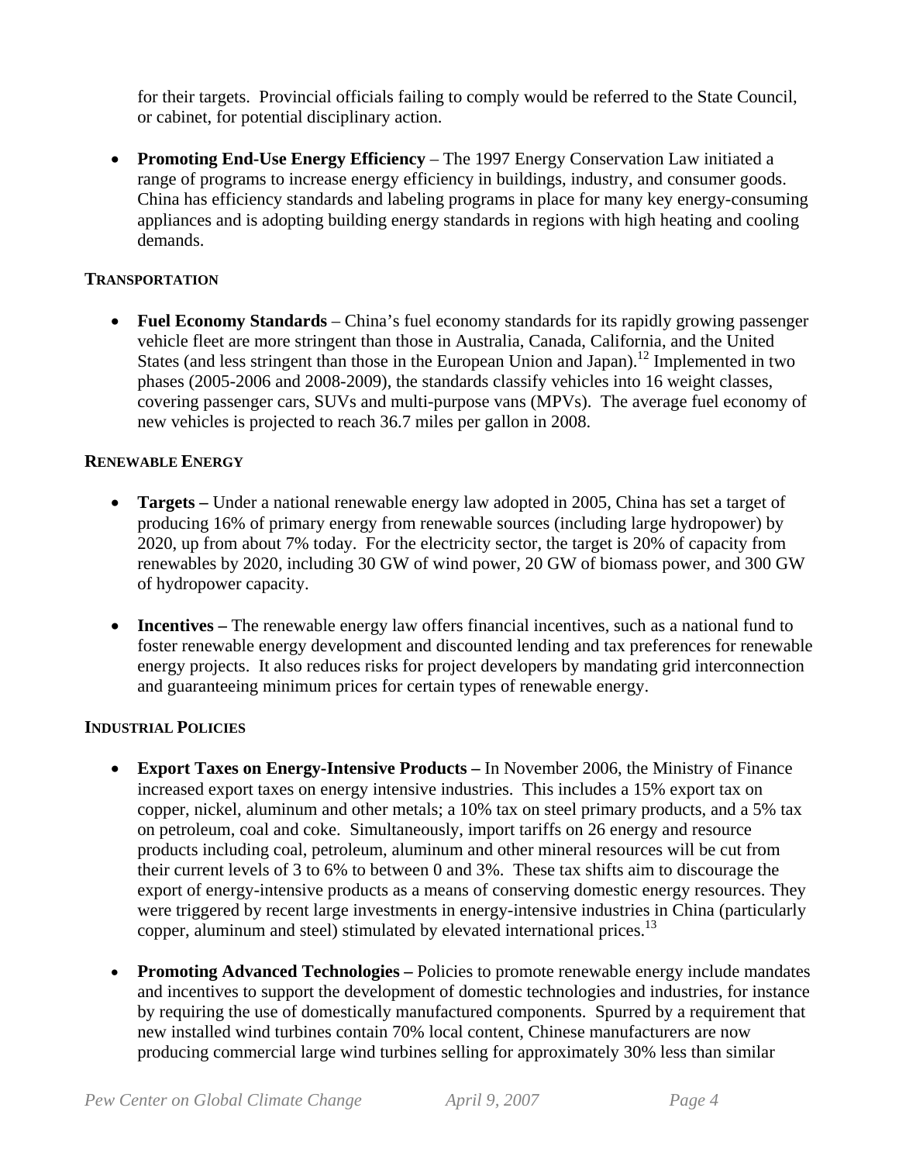for their targets. Provincial officials failing to comply would be referred to the State Council, or cabinet, for potential disciplinary action.

• **Promoting End-Use Energy Efficiency** – The 1997 Energy Conservation Law initiated a range of programs to increase energy efficiency in buildings, industry, and consumer goods. China has efficiency standards and labeling programs in place for many key energy-consuming appliances and is adopting building energy standards in regions with high heating and cooling demands.

### **TRANSPORTATION**

• **Fuel Economy Standards** – China's fuel economy standards for its rapidly growing passenger vehicle fleet are more stringent than those in Australia, Canada, California, and the United States (and less stringent than those in the European Union and Japan).<sup>12</sup> Implemented in two phases (2005-2006 and 2008-2009), the standards classify vehicles into 16 weight classes, covering passenger cars, SUVs and multi-purpose vans (MPVs). The average fuel economy of new vehicles is projected to reach 36.7 miles per gallon in 2008.

# **RENEWABLE ENERGY**

- **Targets** Under a national renewable energy law adopted in 2005, China has set a target of producing 16% of primary energy from renewable sources (including large hydropower) by 2020, up from about 7% today. For the electricity sector, the target is 20% of capacity from renewables by 2020, including 30 GW of wind power, 20 GW of biomass power, and 300 GW of hydropower capacity.
- **Incentives** The renewable energy law offers financial incentives, such as a national fund to foster renewable energy development and discounted lending and tax preferences for renewable energy projects. It also reduces risks for project developers by mandating grid interconnection and guaranteeing minimum prices for certain types of renewable energy.

# **INDUSTRIAL POLICIES**

- **Export Taxes on Energy-Intensive Products** In November 2006, the Ministry of Finance increased export taxes on energy intensive industries. This includes a 15% export tax on copper, nickel, aluminum and other metals; a 10% tax on steel primary products, and a 5% tax on petroleum, coal and coke. Simultaneously, import tariffs on 26 energy and resource products including coal, petroleum, aluminum and other mineral resources will be cut from their current levels of 3 to 6% to between 0 and 3%. These tax shifts aim to discourage the export of energy-intensive products as a means of conserving domestic energy resources. They were triggered by recent large investments in energy-intensive industries in China (particularly copper, aluminum and steel) stimulated by elevated international prices.<sup>13</sup>
- **Promoting Advanced Technologies** Policies to promote renewable energy include mandates and incentives to support the development of domestic technologies and industries, for instance by requiring the use of domestically manufactured components. Spurred by a requirement that new installed wind turbines contain 70% local content, Chinese manufacturers are now producing commercial large wind turbines selling for approximately 30% less than similar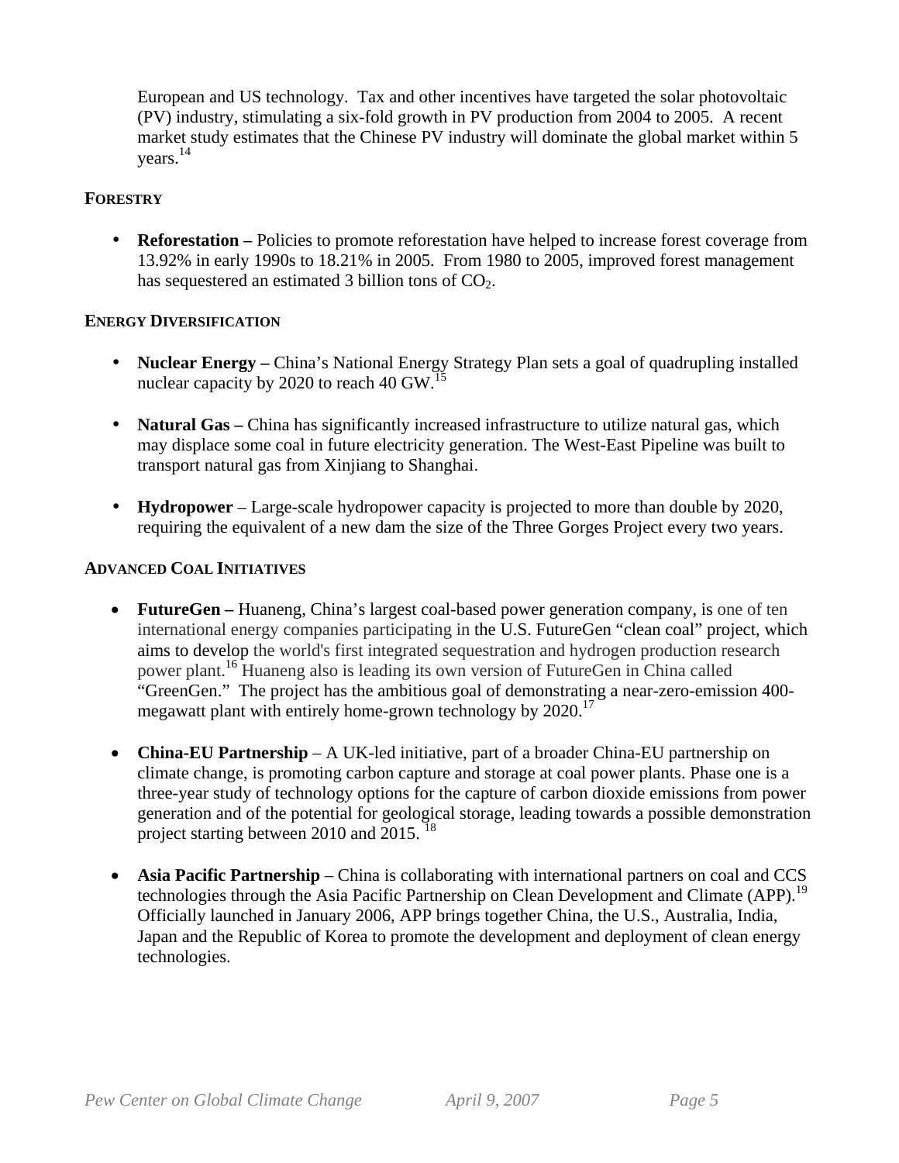European and US technology. Tax and other incentives have targeted the solar photovoltaic (PV) industry, stimulating a six-fold growth in PV production from 2004 to 2005. A recent market study estimates that the Chinese PV industry will dominate the global market within 5 years.14

### **FORESTRY**

• **Reforestation** – Policies to promote reforestation have helped to increase forest coverage from 13.92% in early 1990s to 18.21% in 2005. From 1980 to 2005, improved forest management has sequestered an estimated 3 billion tons of  $CO<sub>2</sub>$ .

### **ENERGY DIVERSIFICATION**

- **Nuclear Energy** China's National Energy Strategy Plan sets a goal of quadrupling installed nuclear capacity by 2020 to reach 40 GW.<sup>15</sup>
- **Natural Gas** China has significantly increased infrastructure to utilize natural gas, which may displace some coal in future electricity generation. The West-East Pipeline was built to transport natural gas from Xinjiang to Shanghai.
- **Hydropower**  Large-scale hydropower capacity is projected to more than double by 2020, requiring the equivalent of a new dam the size of the Three Gorges Project every two years.

### **ADVANCED COAL INITIATIVES**

- **FutureGen** Huaneng, China's largest coal-based power generation company, is one of ten international energy companies participating in the U.S. FutureGen "clean coal" project, which aims to develop the world's first integrated sequestration and hydrogen production research power plant.<sup>16</sup> Huaneng also is leading its own version of FutureGen in China called "GreenGen." The project has the ambitious goal of demonstrating a near-zero-emission 400 megawatt plant with entirely home-grown technology by 2020.<sup>17</sup>
- **China-EU Partnership** A UK-led initiative, part of a broader China-EU partnership on climate change, is promoting carbon capture and storage at coal power plants. Phase one is a three-year study of technology options for the capture of carbon dioxide emissions from power generation and of the potential for geological storage, leading towards a possible demonstration project starting between 2010 and 2015.<sup>18</sup>
- **Asia Pacific Partnership** China is collaborating with international partners on coal and CCS technologies through the Asia Pacific Partnership on Clean Development and Climate (APP).<sup>19</sup> Officially launched in January 2006, APP brings together China, the U.S., Australia, India, Japan and the Republic of Korea to promote the development and deployment of clean energy technologies.